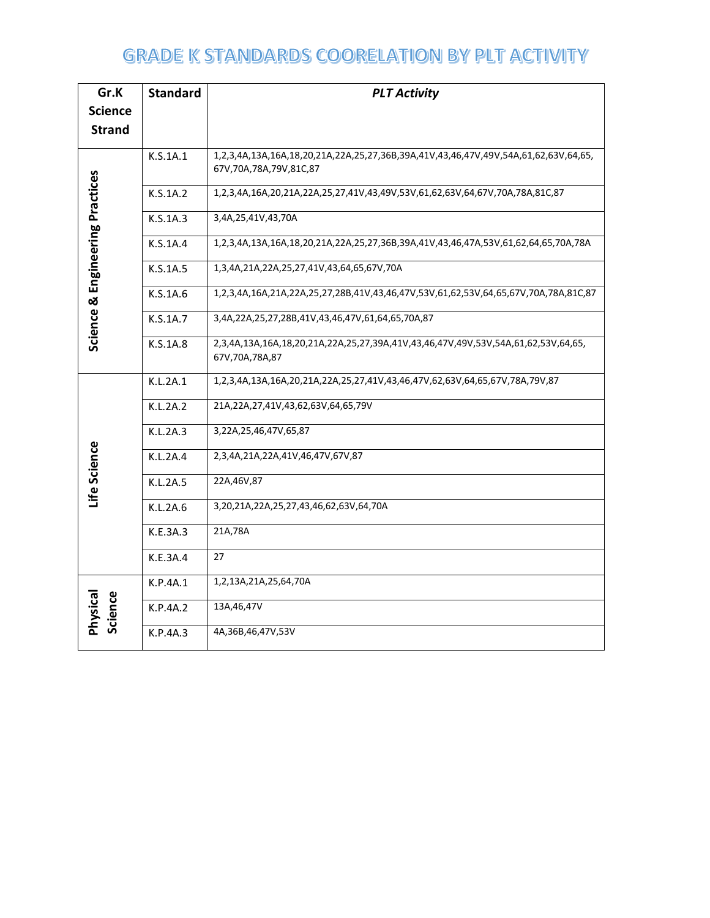| Gr.K                            | <b>Standard</b> | <b>PLT Activity</b>                                                                                           |  |  |  |
|---------------------------------|-----------------|---------------------------------------------------------------------------------------------------------------|--|--|--|
| <b>Science</b>                  |                 |                                                                                                               |  |  |  |
| <b>Strand</b>                   |                 |                                                                                                               |  |  |  |
|                                 | K.S.1A.1        | 1,2,3,4A,13A,16A,18,20,21A,22A,25,27,36B,39A,41V,43,46,47V,49V,54A,61,62,63V,64,65,<br>67V,70A,78A,79V,81C,87 |  |  |  |
|                                 | K.S.1A.2        | 1,2,3,4A,16A,20,21A,22A,25,27,41V,43,49V,53V,61,62,63V,64,67V,70A,78A,81C,87                                  |  |  |  |
|                                 | K.S.1A.3        | 3,4A,25,41V,43,70A                                                                                            |  |  |  |
|                                 | K.S.1A.4        | 1,2,3,4A,13A,16A,18,20,21A,22A,25,27,36B,39A,41V,43,46,47A,53V,61,62,64,65,70A,78A                            |  |  |  |
|                                 | K.S.1A.5        | 1,3,4A,21A,22A,25,27,41V,43,64,65,67V,70A                                                                     |  |  |  |
|                                 | K.S.1A.6        | 1,2,3,4A,16A,21A,22A,25,27,28B,41V,43,46,47V,53V,61,62,53V,64,65,67V,70A,78A,81C,87                           |  |  |  |
| Science & Engineering Practices | K.S.1A.7        | 3,4A,22A,25,27,28B,41V,43,46,47V,61,64,65,70A,87                                                              |  |  |  |
|                                 | K.S.1A.8        | 2,3,4A,13A,16A,18,20,21A,22A,25,27,39A,41V,43,46,47V,49V,53V,54A,61,62,53V,64,65,<br>67V,70A,78A,87           |  |  |  |
|                                 | K.L.2A.1        | 1,2,3,4A,13A,16A,20,21A,22A,25,27,41V,43,46,47V,62,63V,64,65,67V,78A,79V,87                                   |  |  |  |
|                                 | K.L.2A.2        | 21A, 22A, 27, 41V, 43, 62, 63V, 64, 65, 79V                                                                   |  |  |  |
|                                 | K.L.2A.3        | 3,22A,25,46,47V,65,87                                                                                         |  |  |  |
|                                 | K.L.2A.4        | 2,3,4A,21A,22A,41V,46,47V,67V,87                                                                              |  |  |  |
| Life Science                    | K.L.2A.5        | 22A, 46V, 87                                                                                                  |  |  |  |
|                                 | K.L.2A.6        | 3,20,21A,22A,25,27,43,46,62,63V,64,70A                                                                        |  |  |  |
|                                 | K.E.3A.3        | 21A,78A                                                                                                       |  |  |  |
|                                 | K.E.3A.4        | 27                                                                                                            |  |  |  |
|                                 | K.P.4A.1        | 1,2,13A,21A,25,64,70A                                                                                         |  |  |  |
| Physical<br>Science             | K.P.4A.2        | 13A, 46, 47V                                                                                                  |  |  |  |
|                                 | K.P.4A.3        | 4A, 36B, 46, 47V, 53V                                                                                         |  |  |  |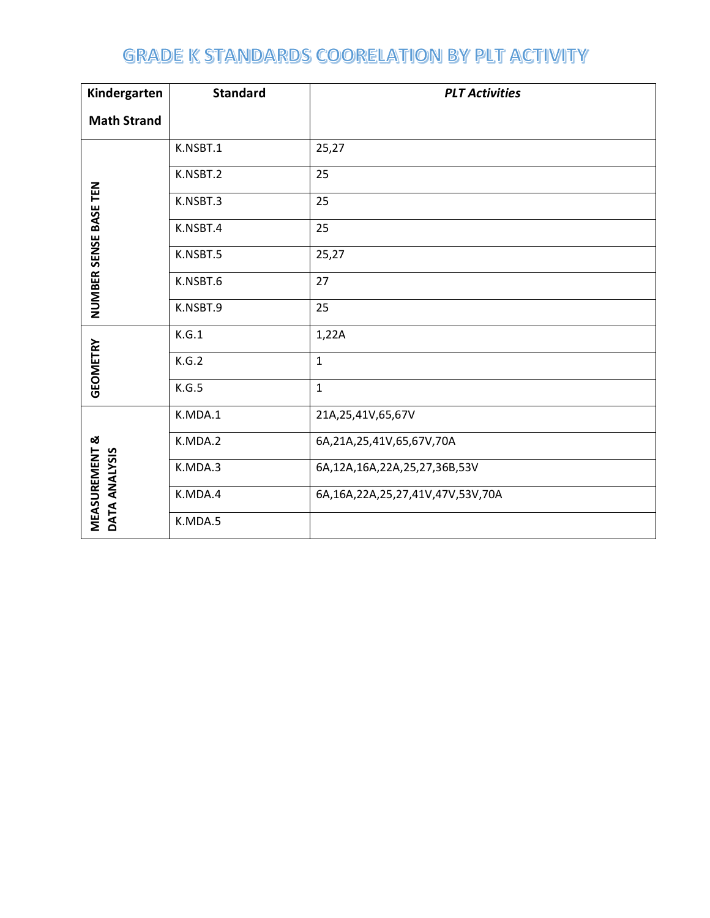| Kindergarten                              | <b>Standard</b> | <b>PLT Activities</b>            |  |  |  |
|-------------------------------------------|-----------------|----------------------------------|--|--|--|
| <b>Math Strand</b>                        |                 |                                  |  |  |  |
|                                           | K.NSBT.1        | 25,27                            |  |  |  |
|                                           | K.NSBT.2        | 25                               |  |  |  |
|                                           | K.NSBT.3        | 25                               |  |  |  |
| NUMBER SENSE BASE TEN                     | K.NSBT.4        | 25                               |  |  |  |
|                                           | K.NSBT.5        | 25,27                            |  |  |  |
|                                           | K.NSBT.6        | 27                               |  |  |  |
|                                           | K.NSBT.9        | 25                               |  |  |  |
|                                           | K.G.1           | 1,22A                            |  |  |  |
| <b>GEOMETRY</b>                           | K.G.2           | $\mathbf{1}$                     |  |  |  |
|                                           | K.G.5           | $\mathbf{1}$                     |  |  |  |
|                                           | K.MDA.1         | 21A, 25, 41V, 65, 67V            |  |  |  |
|                                           | K.MDA.2         | 6A,21A,25,41V,65,67V,70A         |  |  |  |
|                                           | K.MDA.3         | 6A,12A,16A,22A,25,27,36B,53V     |  |  |  |
| <b>MEASUREMENT &amp;</b><br>DATA ANALYSIS | K.MDA.4         | 6A,16A,22A,25,27,41V,47V,53V,70A |  |  |  |
|                                           | K.MDA.5         |                                  |  |  |  |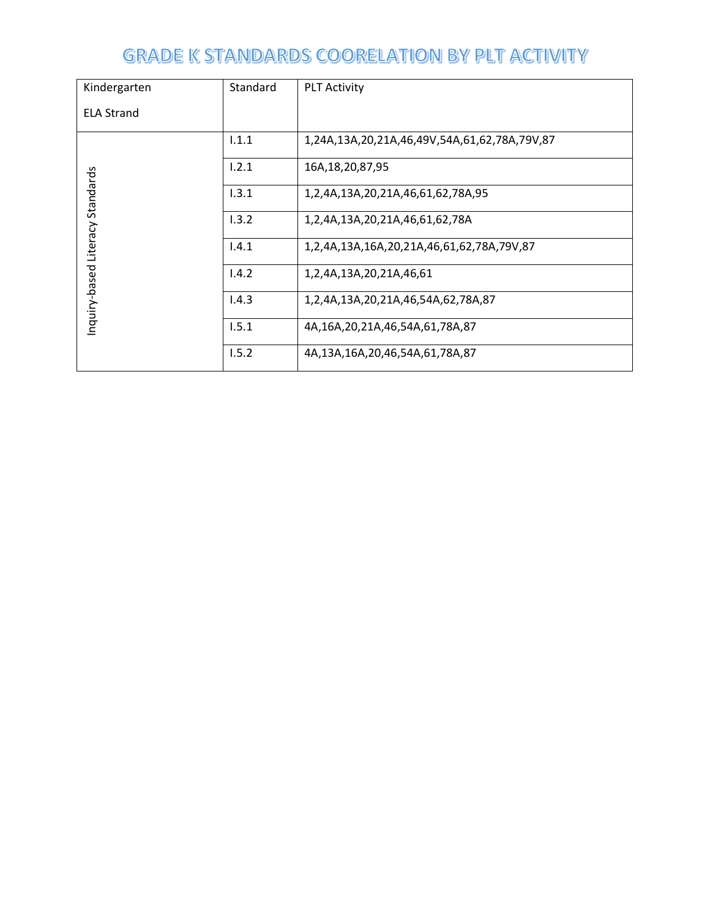| Kindergarten                    | Standard | <b>PLT Activity</b>                          |
|---------------------------------|----------|----------------------------------------------|
| <b>ELA Strand</b>               |          |                                              |
|                                 | 1.1.1    | 1,24A,13A,20,21A,46,49V,54A,61,62,78A,79V,87 |
|                                 | 1.2.1    | 16A, 18, 20, 87, 95                          |
|                                 | 1.3.1    | 1,2,4A,13A,20,21A,46,61,62,78A,95            |
|                                 | 1.3.2    | 1,2,4A,13A,20,21A,46,61,62,78A               |
|                                 | 1.4.1    | 1,2,4A,13A,16A,20,21A,46,61,62,78A,79V,87    |
| nquiry-based Literacy Standards | 1.4.2    | 1,2,4A,13A,20,21A,46,61                      |
|                                 | 1.4.3    | 1,2,4A,13A,20,21A,46,54A,62,78A,87           |
|                                 | 1.5.1    | 4A,16A,20,21A,46,54A,61,78A,87               |
|                                 | 1.5.2    | 4A,13A,16A,20,46,54A,61,78A,87               |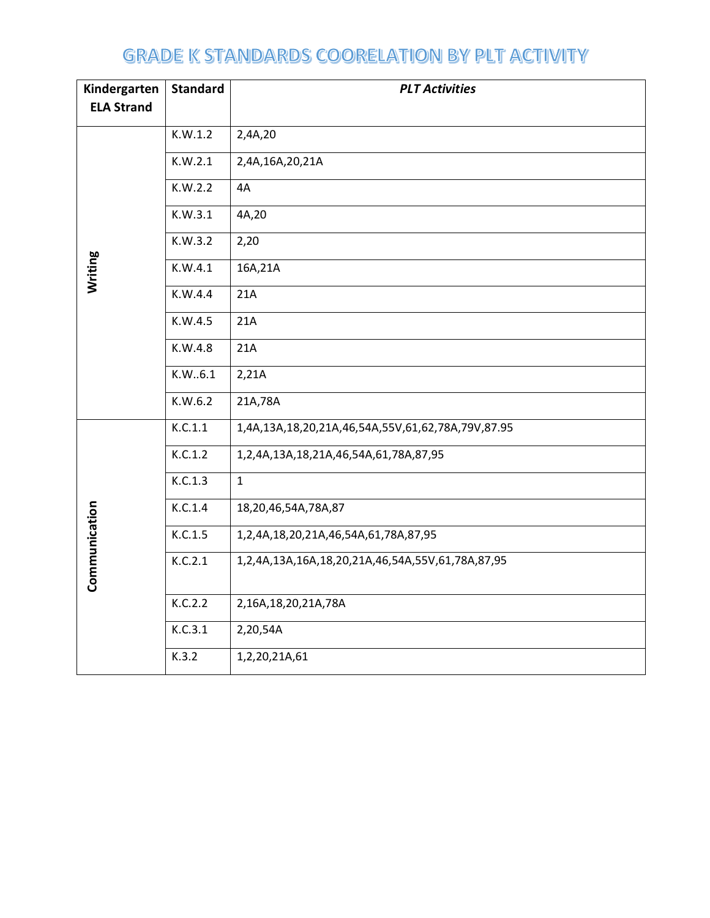| Kindergarten      | <b>Standard</b> | <b>PLT Activities</b>                             |
|-------------------|-----------------|---------------------------------------------------|
| <b>ELA Strand</b> |                 |                                                   |
|                   | K.W.1.2         | 2,4A,20                                           |
|                   | K.W.2.1         | 2,4A,16A,20,21A                                   |
|                   | K.W.2.2         | 4A                                                |
|                   | K.W.3.1         | 4A,20                                             |
|                   | K.W.3.2         | 2,20                                              |
| Writing           | K.W.4.1         | 16A,21A                                           |
|                   | K.W.4.4         | 21A                                               |
|                   | K.W.4.5         | 21A                                               |
|                   | K.W.4.8         | 21A                                               |
|                   | K.W6.1          | 2,21A                                             |
|                   | K.W.6.2         | 21A,78A                                           |
|                   | K.C.1.1         | 1,4A,13A,18,20,21A,46,54A,55V,61,62,78A,79V,87.95 |
|                   | K.C.1.2         | 1,2,4A,13A,18,21A,46,54A,61,78A,87,95             |
|                   | K.C.1.3         | $\mathbf{1}$                                      |
|                   | K.C.1.4         | 18,20,46,54A,78A,87                               |
|                   | K.C.1.5         | 1,2,4A,18,20,21A,46,54A,61,78A,87,95              |
| Communication     | K.C.2.1         | 1,2,4A,13A,16A,18,20,21A,46,54A,55V,61,78A,87,95  |
|                   | K.C.2.2         | 2,16A,18,20,21A,78A                               |
|                   |                 |                                                   |
|                   | K.C.3.1         | 2,20,54A                                          |
|                   | K.3.2           | 1,2,20,21A,61                                     |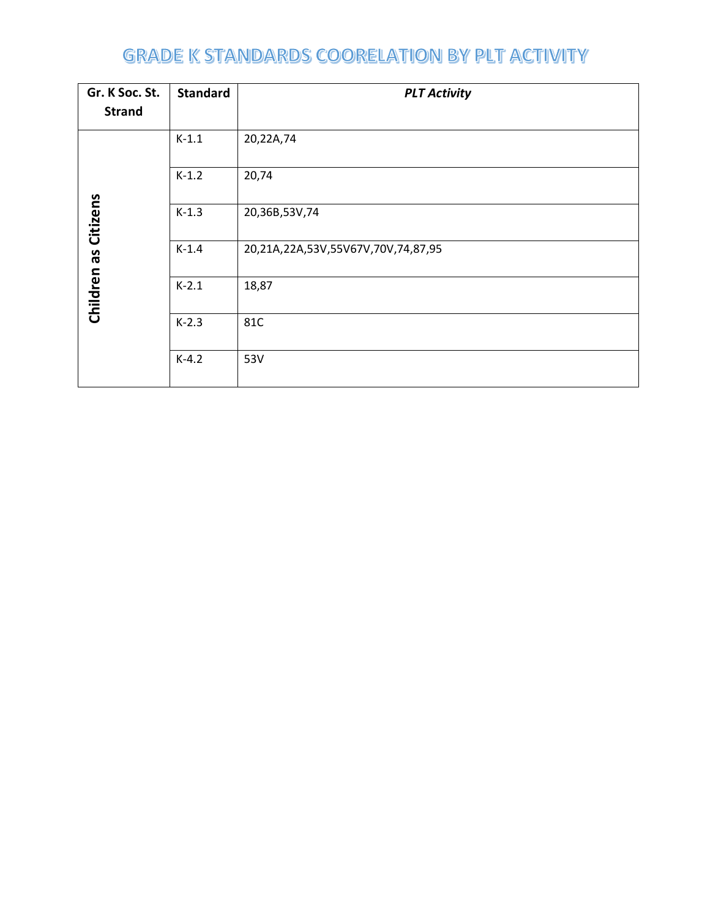| Gr. K Soc. St.       | <b>Standard</b> | <b>PLT Activity</b>                |
|----------------------|-----------------|------------------------------------|
| <b>Strand</b>        |                 |                                    |
|                      | $K-1.1$         | 20,22A,74                          |
|                      | $K-1.2$         | 20,74                              |
| Children as Citizens | $K-1.3$         | 20,36B,53V,74                      |
|                      | $K-1.4$         | 20,21A,22A,53V,55V67V,70V,74,87,95 |
|                      | $K-2.1$         | 18,87                              |
|                      | $K-2.3$         | 81C                                |
|                      | $K-4.2$         | 53V                                |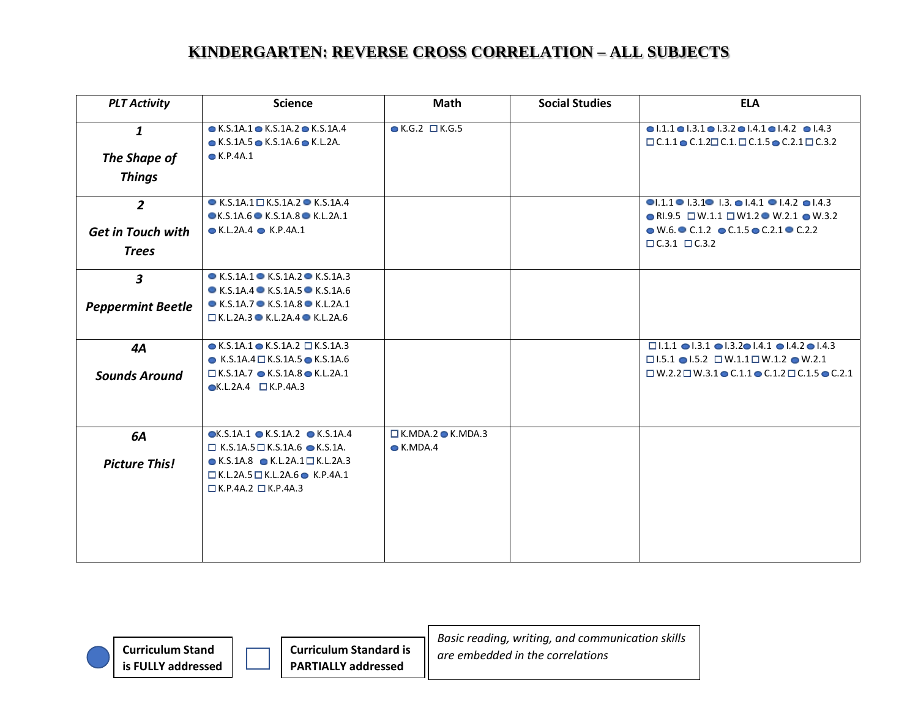| <b>PLT Activity</b>      | <b>Science</b>                                           | Math                             | <b>Social Studies</b> | <b>ELA</b>                                                                                      |
|--------------------------|----------------------------------------------------------|----------------------------------|-----------------------|-------------------------------------------------------------------------------------------------|
| $\mathbf{1}$             | $\bullet$ K.S.1A.1 $\bullet$ K.S.1A.2 $\bullet$ K.S.1A.4 | $\bullet$ K.G.2 $\Box$ K.G.5     |                       | $\bullet$ 1.1.1 $\bullet$ 1.3.1 $\bullet$ 1.3.2 $\bullet$ 1.4.1 $\bullet$ 1.4.2 $\bullet$ 1.4.3 |
|                          | $\bullet$ K.S.1A.5 $\bullet$ K.S.1A.6 $\bullet$ K.L.2A.  |                                  |                       | $\Box$ C.1.1 $\bullet$ C.1.2 $\Box$ C.1. $\Box$ C.1.5 $\bullet$ C.2.1 $\Box$ C.3.2              |
| The Shape of             | $\bullet$ K.P.4A.1                                       |                                  |                       |                                                                                                 |
| <b>Things</b>            |                                                          |                                  |                       |                                                                                                 |
| $\overline{2}$           | $\bullet$ K.S.1A.1 $\Box$ K.S.1A.2 $\bullet$ K.S.1A.4    |                                  |                       | $\bullet$ 1.1.1 $\bullet$ 1.3.1 $\bullet$ 1.3. $\bullet$ 1.4.1 $\bullet$ 1.4.2 $\bullet$ 1.4.3  |
|                          | $\bullet$ K.S.1A.6 $\bullet$ K.S.1A.8 $\bullet$ K.L.2A.1 |                                  |                       | $\bullet$ RI.9.5 $\Box$ W.1.1 $\Box$ W1.2 $\bullet$ W.2.1 $\bullet$ W.3.2                       |
| <b>Get in Touch with</b> | $\bullet$ K.L.2A.4 $\bullet$ K.P.4A.1                    |                                  |                       | $\bullet$ W.6. $\bullet$ C.1.2 $\bullet$ C.1.5 $\bullet$ C.2.1 $\bullet$ C.2.2                  |
| <b>Trees</b>             |                                                          |                                  |                       | $\Box$ C.3.1 $\Box$ C.3.2                                                                       |
|                          |                                                          |                                  |                       |                                                                                                 |
| $\boldsymbol{3}$         | $\bullet$ K.S.1A.1 $\bullet$ K.S.1A.2 $\bullet$ K.S.1A.3 |                                  |                       |                                                                                                 |
|                          | $\bullet$ K.S.1A.4 $\bullet$ K.S.1A.5 $\bullet$ K.S.1A.6 |                                  |                       |                                                                                                 |
| <b>Peppermint Beetle</b> | $\bullet$ K.S.1A.7 $\bullet$ K.S.1A.8 $\bullet$ K.L.2A.1 |                                  |                       |                                                                                                 |
|                          | $\Box$ K.L.2A.3 $\bullet$ K.L.2A.4 $\bullet$ K.L.2A.6    |                                  |                       |                                                                                                 |
|                          |                                                          |                                  |                       |                                                                                                 |
| 4A                       | $\bullet$ K.S.1A.1 $\bullet$ K.S.1A.2 $\Box$ K.S.1A.3    |                                  |                       | $\Box$ 1.1.1 $\Box$ 1.3.1 $\Box$ 1.3.2 $\Box$ 1.4.1 $\Box$ 1.4.2 $\Box$ 1.4.3                   |
|                          | $\bullet$ K.S.1A.4 $\Box$ K.S.1A.5 $\bullet$ K.S.1A.6    |                                  |                       | $\Box$ 1.5.1 $\bullet$ 1.5.2 $\Box$ W.1.1 $\Box$ W.1.2 $\bullet$ W.2.1                          |
| <b>Sounds Around</b>     | $\Box$ K.S.1A.7 $\bullet$ K.S.1A.8 $\bullet$ K.L.2A.1    |                                  |                       | $\Box$ W.2.2 $\Box$ W.3.1 $\bullet$ C.1.1 $\bullet$ C.1.2 $\Box$ C.1.5 $\bullet$ C.2.1          |
|                          | $\bullet$ K.L.2A.4 $\Box$ K.P.4A.3                       |                                  |                       |                                                                                                 |
|                          |                                                          |                                  |                       |                                                                                                 |
| 6A                       | $\bullet$ K.S.1A.1 $\bullet$ K.S.1A.2 $\bullet$ K.S.1A.4 | $\Box$ K.MDA.2 $\bullet$ K.MDA.3 |                       |                                                                                                 |
|                          | $\Box$ K.S.1A.5 $\Box$ K.S.1A.6 $\bullet$ K.S.1A.        | $\bullet$ K.MDA.4                |                       |                                                                                                 |
| <b>Picture This!</b>     | $\bullet$ K.S.1A.8 $\bullet$ K.L.2A.1 $\Box$ K.L.2A.3    |                                  |                       |                                                                                                 |
|                          | $\Box$ K.L.2A.5 $\Box$ K.L.2A.6 $\bullet$ K.P.4A.1       |                                  |                       |                                                                                                 |
|                          | $\Box$ K.P.4A.2 $\Box$ K.P.4A.3                          |                                  |                       |                                                                                                 |
|                          |                                                          |                                  |                       |                                                                                                 |
|                          |                                                          |                                  |                       |                                                                                                 |
|                          |                                                          |                                  |                       |                                                                                                 |
|                          |                                                          |                                  |                       |                                                                                                 |
|                          |                                                          |                                  |                       |                                                                                                 |

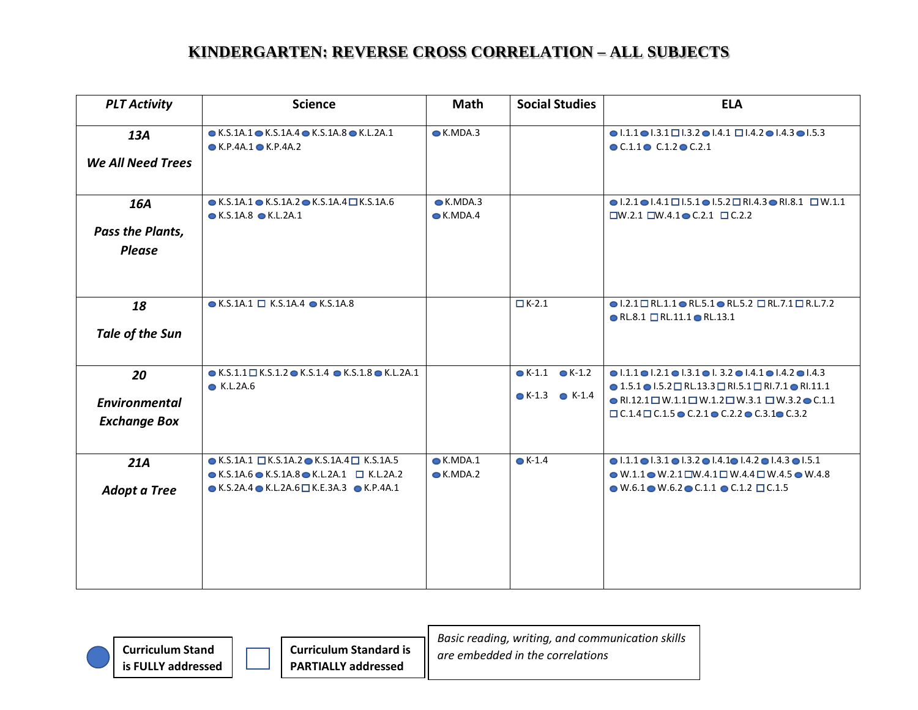| <b>PLT Activity</b>                               | <b>Science</b>                                                                                                                                                                                                                | Math                                   | <b>Social Studies</b>                                              | <b>ELA</b>                                                                                                                                                                                                                                                                                                                                                                                            |
|---------------------------------------------------|-------------------------------------------------------------------------------------------------------------------------------------------------------------------------------------------------------------------------------|----------------------------------------|--------------------------------------------------------------------|-------------------------------------------------------------------------------------------------------------------------------------------------------------------------------------------------------------------------------------------------------------------------------------------------------------------------------------------------------------------------------------------------------|
| 13A<br><b>We All Need Trees</b>                   | $\bullet$ K.S.1A.1 $\bullet$ K.S.1A.4 $\bullet$ K.S.1A.8 $\bullet$ K.L.2A.1<br>$\bullet$ K.P.4A.1 $\bullet$ K.P.4A.2                                                                                                          | $\bullet$ K.MDA.3                      |                                                                    | $\bullet$ 1.1.1 $\bullet$ 1.3.1 $\Box$ 1.3.2 $\bullet$ 1.4.1 $\Box$ 1.4.2 $\bullet$ 1.4.3 $\bullet$ 1.5.3<br>$\bullet$ C.1.1 $\bullet$ C.1.2 $\bullet$ C.2.1                                                                                                                                                                                                                                          |
| 16A<br><b>Pass the Plants,</b><br><b>Please</b>   | $\bullet$ K.S.1A.1 $\bullet$ K.S.1A.2 $\bullet$ K.S.1A.4 $\Box$ K.S.1A.6<br>$\bullet$ K.S.1A.8 $\bullet$ K.L.2A.1                                                                                                             | $\bullet$ K.MDA.3<br>$\bullet$ K.MDA.4 |                                                                    | $\bullet$ 1.2.1 $\bullet$ 1.4.1 $\Box$ 1.5.1 $\bullet$ 1.5.2 $\Box$ RI.4.3 $\bullet$ RI.8.1 $\Box$ W.1.1<br>$\square$ W.2.1 $\square$ W.4.1 $\bullet$ C.2.1 $\square$ C.2.2                                                                                                                                                                                                                           |
| 18<br>Tale of the Sun                             | $\bullet$ K.S.1A.1 $\Box$ K.S.1A.4 $\bullet$ K.S.1A.8                                                                                                                                                                         |                                        | $\overline{\Box} K$ -2.1                                           | $\bullet$ I.2.1 $\Box$ RL.1.1 $\bullet$ RL.5.1 $\bullet$ RL.5.2 $\Box$ RL.7.1 $\Box$ R.L.7.2<br>$\bullet$ RL.8.1 $\Box$ RL.11.1 $\bullet$ RL.13.1                                                                                                                                                                                                                                                     |
| 20<br><b>Environmental</b><br><b>Exchange Box</b> | $\bullet$ K.S.1.1 $\Box$ K.S.1.2 $\bullet$ K.S.1.4 $\bullet$ K.S.1.8 $\bullet$ K.L.2A.1<br>$\bullet$ K.L.2A.6                                                                                                                 |                                        | $\bullet$ K-1.1 $\bullet$ K-1.2<br>$\bullet$ K-1.3 $\bullet$ K-1.4 | $\bullet$ 1.1.1 $\bullet$ 1.2.1 $\bullet$ 1.3.1 $\bullet$ 1.3.2 $\bullet$ 1.4.1 $\bullet$ 1.4.2 $\bullet$ 1.4.3<br>$\bullet$ 1.5.1 $\bullet$ 1.5.2 $\Box$ RL.13.3 $\Box$ RI.5.1 $\Box$ RI.7.1 $\bullet$ RI.11.1<br>$\bullet$ RI.12.1 $\Box$ W.1.1 $\Box$ W.1.2 $\Box$ W.3.1 $\Box$ W.3.2 $\bullet$ C.1.1<br>$\Box$ C.1.4 $\Box$ C.1.5 $\bullet$ C.2.1 $\bullet$ C.2.2 $\bullet$ C.3.1 $\bullet$ C.3.2 |
| 21A<br><b>Adopt a Tree</b>                        | $\bullet$ K.S.1A.1 $\Box$ K.S.1A.2 $\bullet$ K.S.1A.4 $\Box$ K.S.1A.5<br>$\bullet$ K.S.1A.6 $\bullet$ K.S.1A.8 $\bullet$ K.L.2A.1 $\Box$ K.L.2A.2<br>$\bullet$ K.S.2A.4 $\bullet$ K.L.2A.6 $\Box$ K.E.3A.3 $\bullet$ K.P.4A.1 | $\bullet$ K.MDA.1<br>$\bullet$ K.MDA.2 | $\bullet$ K-1.4                                                    | $\bullet$ 1.1.1 $\bullet$ 1.3.1 $\bullet$ 1.3.2 $\bullet$ 1.4.1 $\bullet$ 1.4.2 $\bullet$ 1.4.3 $\bullet$ 1.5.1<br>$\bullet$ W.1.1 $\bullet$ W.2.1 $\square$ W.4.1 $\square$ W.4.4 $\square$ W.4.5 $\bullet$ W.4.8<br>$\bullet$ W.6.1 $\bullet$ W.6.2 $\bullet$ C.1.1 $\bullet$ C.1.2 $\Box$ C.1.5                                                                                                    |

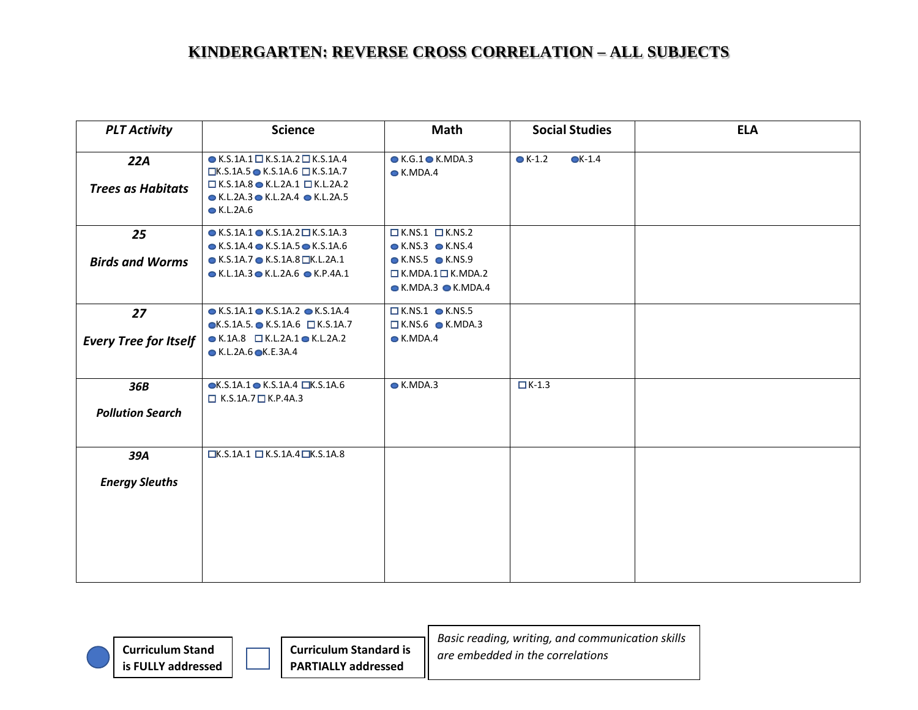| <b>PLT Activity</b>          | <b>Science</b>                                                                                                                                                                | Math                                                                                                                                           | <b>Social Studies</b>              | <b>ELA</b> |
|------------------------------|-------------------------------------------------------------------------------------------------------------------------------------------------------------------------------|------------------------------------------------------------------------------------------------------------------------------------------------|------------------------------------|------------|
| 22A                          | $\bullet$ K.S.1A.1 $\Box$ K.S.1A.2 $\Box$ K.S.1A.4<br>$\Box$ K.S.1A.5 $\bullet$ K.S.1A.6 $\Box$ K.S.1A.7                                                                      | $\bullet$ K.G.1 $\bullet$ K.MDA.3<br>$\bullet$ K.MDA.4                                                                                         | $\bullet$ K-1.2<br>$\bullet$ K-1.4 |            |
| <b>Trees as Habitats</b>     | $\Box$ K.S.1A.8 $\bullet$ K.L.2A.1 $\Box$ K.L.2A.2<br>$\bullet$ K.L.2A.3 $\bullet$ K.L.2A.4 $\bullet$ K.L.2A.5<br>$\bullet$ K.L.2A.6                                          |                                                                                                                                                |                                    |            |
| 25                           | $\bullet$ K.S.1A.1 $\bullet$ K.S.1A.2 $\Box$ K.S.1A.3                                                                                                                         | $K.NS.1$ $N.S.2$                                                                                                                               |                                    |            |
| <b>Birds and Worms</b>       | $\bullet$ K.S.1A.4 $\bullet$ K.S.1A.5 $\bullet$ K.S.1A.6<br>$\bullet$ K.S.1A.7 $\bullet$ K.S.1A.8 $\Box$ K.L.2A.1<br>$\bullet$ K.L.1A.3 $\bullet$ K.L.2A.6 $\bullet$ K.P.4A.1 | $\bullet$ K.NS.3 $\bullet$ K.NS.4<br>$\bullet$ K.NS.5 $\bullet$ K.NS.9<br>$\Box$ K.MDA.1 $\Box$ K.MDA.2<br>$\bullet$ K.MDA.3 $\bullet$ K.MDA.4 |                                    |            |
| 27                           | $\bullet$ K.S.1A.1 $\bullet$ K.S.1A.2 $\bullet$ K.S.1A.4                                                                                                                      | $K.NS.1$ <b>O</b> K.NS.5                                                                                                                       |                                    |            |
| <b>Every Tree for Itself</b> | $\bullet$ K.S.1A.5. $\bullet$ K.S.1A.6 $\Box$ K.S.1A.7<br>$\bullet$ K.1A.8 $\Box$ K.L.2A.1 $\bullet$ K.L.2A.2<br>$\bullet$ K.L.2A.6 $\bullet$ K.E.3A.4                        | $K.NS.6$ <b>C</b> K.MDA.3<br>$\bullet$ K.MDA.4                                                                                                 |                                    |            |
| 36B                          | $\bullet$ K.S.1A.1 $\bullet$ K.S.1A.4 $\Box$ K.S.1A.6<br>$\Box$ K.S.1A.7 $\Box$ K.P.4A.3                                                                                      | $\bullet$ K.MDA.3                                                                                                                              | $K-1.3$                            |            |
| <b>Pollution Search</b>      |                                                                                                                                                                               |                                                                                                                                                |                                    |            |
| 39A                          | $\Box$ K.S.1A.1 $\Box$ K.S.1A.4 $\Box$ K.S.1A.8                                                                                                                               |                                                                                                                                                |                                    |            |
| <b>Energy Sleuths</b>        |                                                                                                                                                                               |                                                                                                                                                |                                    |            |
|                              |                                                                                                                                                                               |                                                                                                                                                |                                    |            |
|                              |                                                                                                                                                                               |                                                                                                                                                |                                    |            |
|                              |                                                                                                                                                                               |                                                                                                                                                |                                    |            |

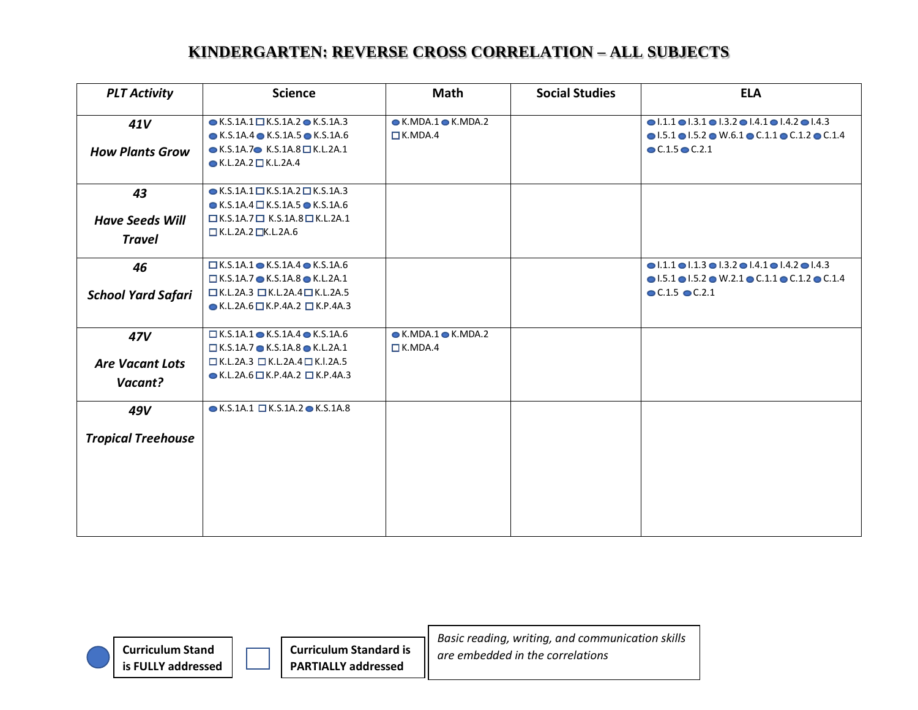| <b>PLT Activity</b>       | <b>Science</b>                                                                                                    | Math                                            | <b>Social Studies</b> | <b>ELA</b>                                                                                                                                                                                         |
|---------------------------|-------------------------------------------------------------------------------------------------------------------|-------------------------------------------------|-----------------------|----------------------------------------------------------------------------------------------------------------------------------------------------------------------------------------------------|
| 41V                       | $\bullet$ K.S.1A.1 $\Box$ K.S.1A.2 $\bullet$ K.S.1A.3<br>$\bullet$ K.S.1A.4 $\bullet$ K.S.1A.5 $\bullet$ K.S.1A.6 | $\bullet$ K.MDA.1 $\bullet$ K.MDA.2<br>IK.MDA.4 |                       | $\bullet$ 1.1.1 $\bullet$ 1.3.1 $\bullet$ 1.3.2 $\bullet$ 1.4.1 $\bullet$ 1.4.2 $\bullet$ 1.4.3<br>$\bullet$ 1.5.1 $\bullet$ 1.5.2 $\bullet$ W.6.1 $\bullet$ C.1.1 $\bullet$ C.1.2 $\bullet$ C.1.4 |
| <b>How Plants Grow</b>    | $\bullet$ K.S.1A.7 $\bullet$ K.S.1A.8 $\Box$ K.L.2A.1<br>$\bullet$ K.L.2A.2 $\Box$ K.L.2A.4                       |                                                 |                       | $C.1.5$ $C.2.1$                                                                                                                                                                                    |
| 43                        | $\bullet$ K.S.1A.1 $\Box$ K.S.1A.2 $\Box$ K.S.1A.3                                                                |                                                 |                       |                                                                                                                                                                                                    |
|                           | $\bullet$ K.S.1A.4 $\Box$ K.S.1A.5 $\bullet$ K.S.1A.6                                                             |                                                 |                       |                                                                                                                                                                                                    |
| <b>Have Seeds Will</b>    | $\Box$ K.S.1A.7 $\Box$ K.S.1A.8 $\Box$ K.L.2A.1                                                                   |                                                 |                       |                                                                                                                                                                                                    |
| <b>Travel</b>             | $\Box$ K.L.2A.2 $\Box$ K.L.2A.6                                                                                   |                                                 |                       |                                                                                                                                                                                                    |
| 46                        | $\Box$ K.S.1A.1 $\bullet$ K.S.1A.4 $\bullet$ K.S.1A.6                                                             |                                                 |                       | $\bullet$ 1.1.1 $\bullet$ 1.1.3 $\bullet$ 1.3.2 $\bullet$ 1.4.1 $\bullet$ 1.4.2 $\bullet$ 1.4.3                                                                                                    |
|                           | $\Box$ K.S.1A.7 $\bullet$ K.S.1A.8 $\bullet$ K.L.2A.1                                                             |                                                 |                       | $\bullet$ 1.5.1 $\bullet$ 1.5.2 $\bullet$ W.2.1 $\bullet$ C.1.1 $\bullet$ C.1.2 $\bullet$ C.1.4                                                                                                    |
| <b>School Yard Safari</b> | $\Box$ K.L.2A.3 $\Box$ K.L.2A.4 $\Box$ K.L.2A.5                                                                   |                                                 |                       | $C.1.5$ $C.2.1$                                                                                                                                                                                    |
|                           | $\bullet$ K.L.2A.6 $\Box$ K.P.4A.2 $\Box$ K.P.4A.3                                                                |                                                 |                       |                                                                                                                                                                                                    |
| 47V                       | $\Box$ K.S.1A.1 $\bullet$ K.S.1A.4 $\bullet$ K.S.1A.6                                                             | $\bullet$ K.MDA.1 $\bullet$ K.MDA.2             |                       |                                                                                                                                                                                                    |
|                           | $\Box$ K.S.1A.7 $\bullet$ K.S.1A.8 $\bullet$ K.L.2A.1                                                             | K.MDA.4                                         |                       |                                                                                                                                                                                                    |
| <b>Are Vacant Lots</b>    | $\Box$ K.L.2A.3 $\Box$ K.L.2A.4 $\Box$ K.I.2A.5                                                                   |                                                 |                       |                                                                                                                                                                                                    |
| Vacant?                   | $\bullet$ K.L.2A.6 $\Box$ K.P.4A.2 $\Box$ K.P.4A.3                                                                |                                                 |                       |                                                                                                                                                                                                    |
| 49V                       | $\bullet$ K.S.1A.1 $\Box$ K.S.1A.2 $\bullet$ K.S.1A.8                                                             |                                                 |                       |                                                                                                                                                                                                    |
| <b>Tropical Treehouse</b> |                                                                                                                   |                                                 |                       |                                                                                                                                                                                                    |
|                           |                                                                                                                   |                                                 |                       |                                                                                                                                                                                                    |
|                           |                                                                                                                   |                                                 |                       |                                                                                                                                                                                                    |
|                           |                                                                                                                   |                                                 |                       |                                                                                                                                                                                                    |
|                           |                                                                                                                   |                                                 |                       |                                                                                                                                                                                                    |

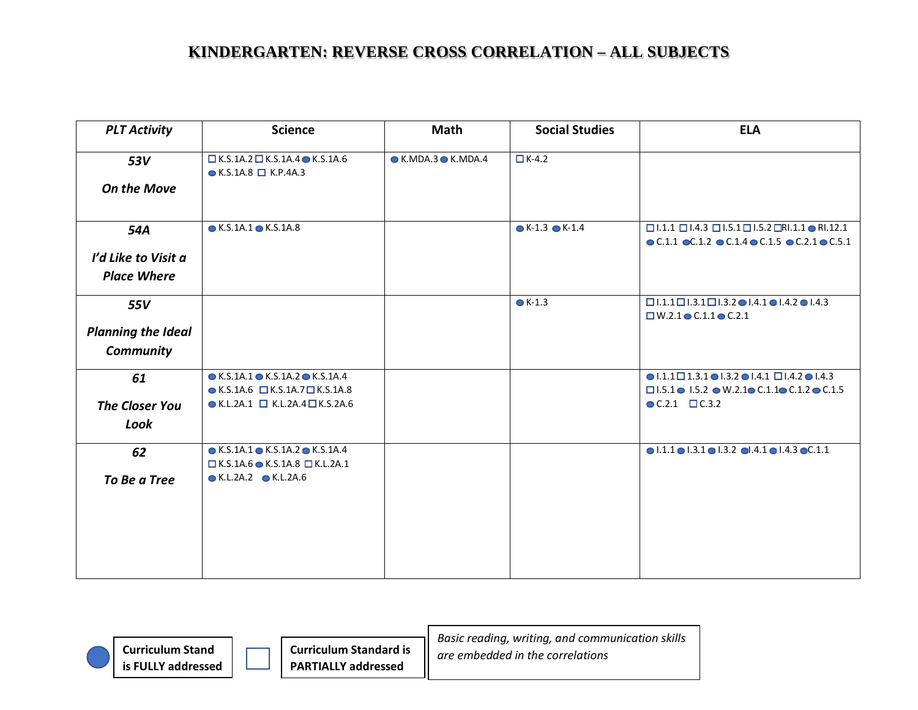| <b>PLT Activity</b>       | <b>Science</b>                                                                                           | Math                                | <b>Social Studies</b> | <b>ELA</b>                                                                                                                   |
|---------------------------|----------------------------------------------------------------------------------------------------------|-------------------------------------|-----------------------|------------------------------------------------------------------------------------------------------------------------------|
| 53V                       | $\Box$ K.S.1A.2 $\Box$ K.S.1A.4 $\bullet$ K.S.1A.6<br>$\bullet$ K.S.1A.8 $\Box$ K.P.4A.3                 | $\bullet$ K.MDA.3 $\bullet$ K.MDA.4 | $\Box K-4.2$          |                                                                                                                              |
| <b>On the Move</b>        |                                                                                                          |                                     |                       |                                                                                                                              |
|                           |                                                                                                          |                                     |                       |                                                                                                                              |
| 54A                       | $\bullet$ K.S.1A.1 $\bullet$ K.S.1A.8                                                                    |                                     | $K-1.3$ $K-1.4$       | $\Box$ 1.1.1 $\Box$ 1.4.3 $\Box$ 1.5.1 $\Box$ 1.5.2 $\Box$ RI.1.1 $\bullet$ RI.12.1                                          |
| I'd Like to Visit a       |                                                                                                          |                                     |                       | $\bullet$ C.1.1 $\bullet$ C.1.2 $\bullet$ C.1.4 $\bullet$ C.1.5 $\bullet$ C.2.1 $\bullet$ C.5.1                              |
| <b>Place Where</b>        |                                                                                                          |                                     |                       |                                                                                                                              |
|                           |                                                                                                          |                                     |                       |                                                                                                                              |
| 55V                       |                                                                                                          |                                     | $\bullet$ K-1.3       | $\Box$ 1.1.1 $\Box$ 1.3.1 $\Box$ 1.3.2 $\bullet$ 1.4.1 $\bullet$ 1.4.2 $\bullet$ 1.4.3                                       |
| <b>Planning the Ideal</b> |                                                                                                          |                                     |                       | $\Box$ W.2.1 $\bullet$ C.1.1 $\bullet$ C.2.1                                                                                 |
| <b>Community</b>          |                                                                                                          |                                     |                       |                                                                                                                              |
|                           |                                                                                                          |                                     |                       |                                                                                                                              |
| 61                        | $\bullet$ K.S.1A.1 $\bullet$ K.S.1A.2 $\bullet$ K.S.1A.4                                                 |                                     |                       | $\bullet$ 1.1.1 $\Box$ 1.3.1 $\bullet$ 1.3.2 $\bullet$ 1.4.1 $\Box$ 1.4.2 $\bullet$ 1.4.3                                    |
| <b>The Closer You</b>     | $\bullet$ K.S.1A.6 $\Box$ K.S.1A.7 $\Box$ K.S.1A.8<br>$\bullet$ K.L.2A.1 $\Box$ K.L.2A.4 $\Box$ K.S.2A.6 |                                     |                       | $\Box$ 1.5.1 $\bullet$ 1.5.2 $\bullet$ W.2.1 $\bullet$ C.1.1 $\bullet$ C.1.2 $\bullet$ C.1.5<br>$\bullet$ C.2.1 $\Box$ C.3.2 |
| Look                      |                                                                                                          |                                     |                       |                                                                                                                              |
|                           |                                                                                                          |                                     |                       |                                                                                                                              |
| 62                        | $\bullet$ K.S.1A.1 $\bullet$ K.S.1A.2 $\bullet$ K.S.1A.4                                                 |                                     |                       | $\bullet$ 1.1.1 $\bullet$ 1.3.1 $\bullet$ 1.3.2 $\bullet$ 1.4.1 $\bullet$ 1.4.3 $\bullet$ C.1.1                              |
| To Be a Tree              | $\Box$ K.S.1A.6 $\bullet$ K.S.1A.8 $\Box$ K.L.2A.1<br>● K.L.2A.2 ● K.L.2A.6                              |                                     |                       |                                                                                                                              |
|                           |                                                                                                          |                                     |                       |                                                                                                                              |
|                           |                                                                                                          |                                     |                       |                                                                                                                              |
|                           |                                                                                                          |                                     |                       |                                                                                                                              |
|                           |                                                                                                          |                                     |                       |                                                                                                                              |
|                           |                                                                                                          |                                     |                       |                                                                                                                              |

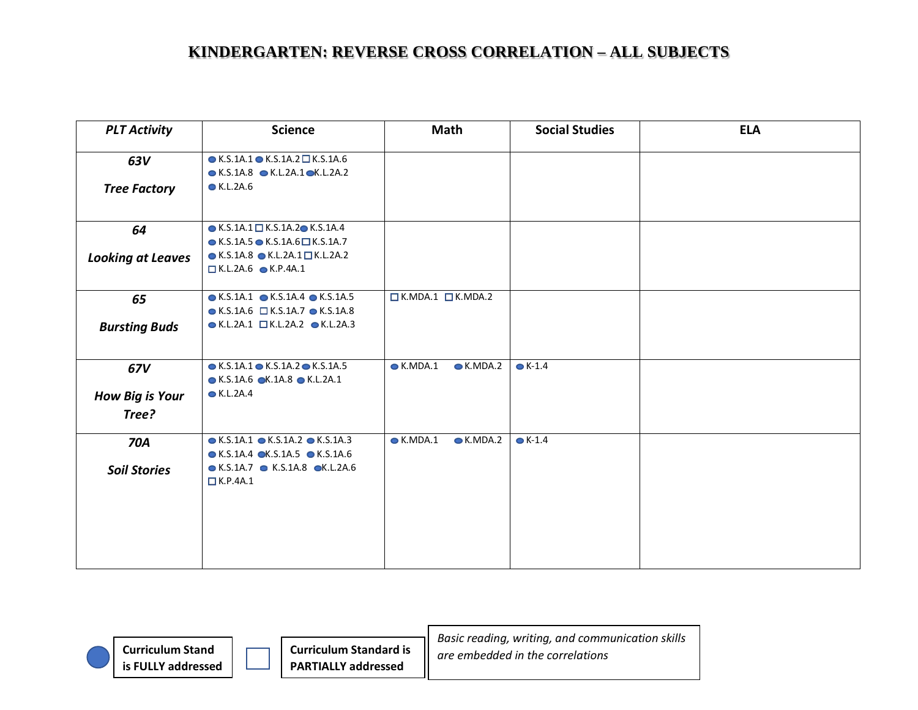| <b>PLT Activity</b>      | <b>Science</b>                                                                                                                                       | <b>Math</b>                            | <b>Social Studies</b> | <b>ELA</b> |
|--------------------------|------------------------------------------------------------------------------------------------------------------------------------------------------|----------------------------------------|-----------------------|------------|
| 63V                      | $\bullet$ K.S.1A.1 $\bullet$ K.S.1A.2 $\Box$ K.S.1A.6<br>$\bullet$ K.S.1A.8 $\bullet$ K.L.2A.1 $\bullet$ K.L.2A.2                                    |                                        |                       |            |
| <b>Tree Factory</b>      | $\bullet$ K.L.2A.6                                                                                                                                   |                                        |                       |            |
| 64                       | $\bullet$ K.S.1A.1 $\Box$ K.S.1A.2 $\bullet$ K.S.1A.4                                                                                                |                                        |                       |            |
| <b>Looking at Leaves</b> | $\bullet$ K.S.1A.5 $\bullet$ K.S.1A.6 $\Box$ K.S.1A.7<br>$\bullet$ K.S.1A.8 $\bullet$ K.L.2A.1 $\Box$ K.L.2A.2<br>$\Box$ K.L.2A.6 $\bullet$ K.P.4A.1 |                                        |                       |            |
| 65                       | $\bullet$ K.S.1A.1 $\bullet$ K.S.1A.4 $\bullet$ K.S.1A.5                                                                                             | $\n  L$ K.MDA.1 $\n  L$ K.MDA.2        |                       |            |
| <b>Bursting Buds</b>     | $\bullet$ K.S.1A.6 $\Box$ K.S.1A.7 $\bullet$ K.S.1A.8<br>$\bullet$ K.L.2A.1 $\Box$ K.L.2A.2 $\bullet$ K.L.2A.3                                       |                                        |                       |            |
| 67V                      | $\bullet$ K.S.1A.1 $\bullet$ K.S.1A.2 $\bullet$ K.S.1A.5<br>$\bullet$ K.S.1A.6 $\bullet$ K.1A.8 $\bullet$ K.L.2A.1                                   | $\bullet$ K.MDA.1<br>$\bullet$ K.MDA.2 | $\bullet$ K-1.4       |            |
| <b>How Big is Your</b>   | ● K.L.2A.4                                                                                                                                           |                                        |                       |            |
| Tree?                    |                                                                                                                                                      |                                        |                       |            |
| <b>70A</b>               | $\bullet$ K.S.1A.1 $\bullet$ K.S.1A.2 $\bullet$ K.S.1A.3<br>$\bullet$ K.S.1A.4 $\bullet$ K.S.1A.5 $\bullet$ K.S.1A.6                                 | $\bullet$ K.MDA.1<br>$\bullet$ K.MDA.2 | $\bullet$ K-1.4       |            |
| <b>Soil Stories</b>      | $\bullet$ K.S.1A.7 $\bullet$ K.S.1A.8 $\bullet$ K.L.2A.6<br>K.P.4A.1                                                                                 |                                        |                       |            |
|                          |                                                                                                                                                      |                                        |                       |            |

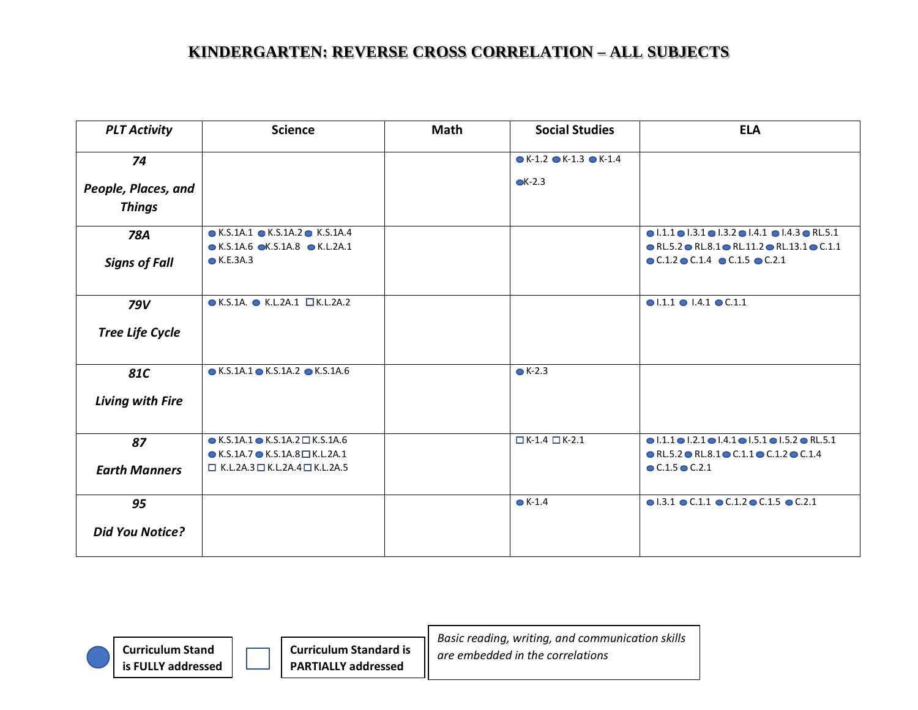| <b>PLT Activity</b>     | <b>Science</b>                                                                                                       | <b>Math</b> | <b>Social Studies</b>                           | <b>ELA</b>                                                                                                                                                                                |
|-------------------------|----------------------------------------------------------------------------------------------------------------------|-------------|-------------------------------------------------|-------------------------------------------------------------------------------------------------------------------------------------------------------------------------------------------|
| 74                      |                                                                                                                      |             | $\bullet$ K-1.2 $\bullet$ K-1.3 $\bullet$ K-1.4 |                                                                                                                                                                                           |
| People, Places, and     |                                                                                                                      |             | $CK-2.3$                                        |                                                                                                                                                                                           |
| <b>Things</b>           |                                                                                                                      |             |                                                 |                                                                                                                                                                                           |
| 78A                     | $\bullet$ K.S.1A.1 $\bullet$ K.S.1A.2 $\bullet$ K.S.1A.4<br>$\bullet$ K.S.1A.6 $\bullet$ K.S.1A.8 $\bullet$ K.L.2A.1 |             |                                                 | $\bullet$ 1.1.1 $\bullet$ 1.3.1 $\bullet$ 1.3.2 $\bullet$ 1.4.1 $\bullet$ 1.4.3 $\bullet$ RL.5.1<br>$\bullet$ RL.5.2 $\bullet$ RL.8.1 $\bullet$ RL.11.2 $\bullet$ RL.13.1 $\bullet$ C.1.1 |
| <b>Signs of Fall</b>    | $\bullet$ K.E.3A.3                                                                                                   |             |                                                 | $\bullet$ C.1.2 $\bullet$ C.1.4 $\bullet$ C.1.5 $\bullet$ C.2.1                                                                                                                           |
| 79V                     | $\bullet$ K.S.1A. $\bullet$ K.L.2A.1 $\Box$ K.L.2A.2                                                                 |             |                                                 | $\bullet$ 1.1.1 $\bullet$ 1.4.1 $\bullet$ C.1.1                                                                                                                                           |
| <b>Tree Life Cycle</b>  |                                                                                                                      |             |                                                 |                                                                                                                                                                                           |
| 81C                     | $\bullet$ K.S.1A.1 $\bullet$ K.S.1A.2 $\bullet$ K.S.1A.6                                                             |             | $\bullet$ K-2.3                                 |                                                                                                                                                                                           |
| <b>Living with Fire</b> |                                                                                                                      |             |                                                 |                                                                                                                                                                                           |
| 87                      | $\bullet$ K.S.1A.1 $\bullet$ K.S.1A.2 $\square$ K.S.1A.6<br>$\bullet$ K.S.1A.7 $\bullet$ K.S.1A.8 $\Box$ K.L.2A.1    |             | $K-1.4$ $K-2.1$                                 | $\bullet$ 1.1.1 $\bullet$ 1.2.1 $\bullet$ 1.4.1 $\bullet$ 1.5.1 $\bullet$ 1.5.2 $\bullet$ RL.5.1<br>$\bullet$ RL.5.2 $\bullet$ RL.8.1 $\bullet$ C.1.1 $\bullet$ C.1.2 $\bullet$ C.1.4     |
| <b>Earth Manners</b>    | $\Box$ K.L.2A.3 $\Box$ K.L.2A.4 $\Box$ K.L.2A.5                                                                      |             |                                                 | $C.1.5$ $C.2.1$                                                                                                                                                                           |
| 95                      |                                                                                                                      |             | $\bullet$ K-1.4                                 | $\bullet$ 1.3.1 $\bullet$ C.1.1 $\bullet$ C.1.2 $\bullet$ C.1.5 $\bullet$ C.2.1                                                                                                           |
| <b>Did You Notice?</b>  |                                                                                                                      |             |                                                 |                                                                                                                                                                                           |